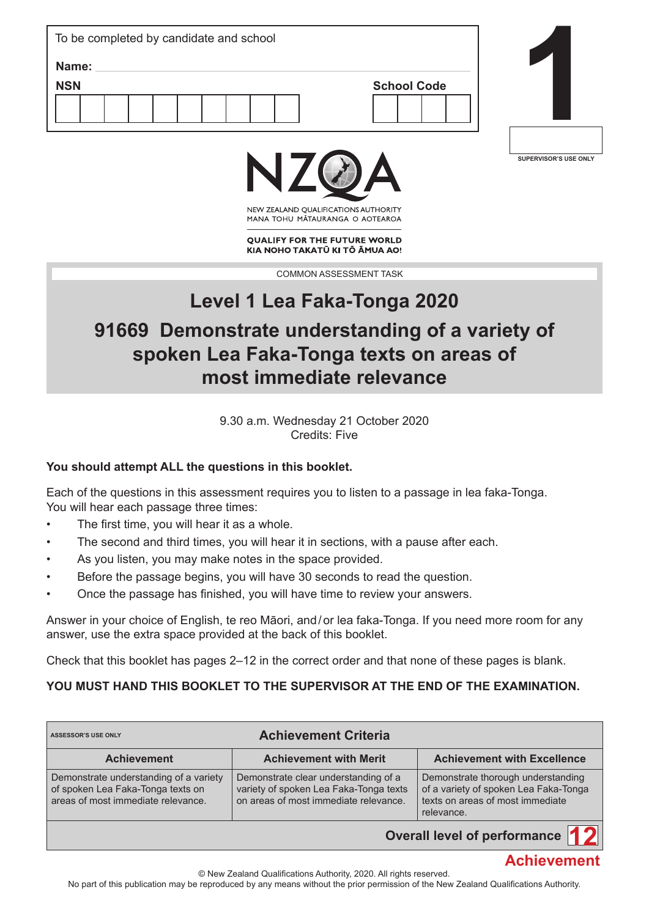| To be completed by candidate and school |                    |  |  |
|-----------------------------------------|--------------------|--|--|
| Name:                                   |                    |  |  |
| <b>NSN</b>                              | <b>School Code</b> |  |  |
|                                         |                    |  |  |
|                                         |                    |  |  |







NEW ZEALAND OUALIFICATIONS AUTHORITY MANA TOHU MATAURANGA O AOTEAROA

**OUALIFY FOR THE FUTURE WORLD** KIA NOHO TAKATŪ KI TŌ ĀMUA AO!

COMMON ASSESSMENT TASK

# **Level 1 Lea Faka-Tonga 2020 91669 Demonstrate understanding of a variety of spoken Lea Faka-Tonga texts on areas of most immediate relevance**

9.30 a.m. Wednesday 21 October 2020 Credits: Five

## **You should attempt ALL the questions in this booklet.**

Each of the questions in this assessment requires you to listen to a passage in lea faka-Tonga. You will hear each passage three times:

- The first time, you will hear it as a whole.
- The second and third times, you will hear it in sections, with a pause after each.
- As you listen, you may make notes in the space provided.
- Before the passage begins, you will have 30 seconds to read the question.
- Once the passage has finished, you will have time to review your answers.

Answer in your choice of English, te reo Māori, and/or lea faka-Tonga. If you need more room for any answer, use the extra space provided at the back of this booklet.

Check that this booklet has pages 2–12 in the correct order and that none of these pages is blank.

### **YOU MUST HAND THIS BOOKLET TO THE SUPERVISOR AT THE END OF THE EXAMINATION.**

| <b>Achievement Criteria</b><br><b>ASSESSOR'S USE ONLY</b>                                                         |                                                                                                                         |                                                                                                                               |  |  |
|-------------------------------------------------------------------------------------------------------------------|-------------------------------------------------------------------------------------------------------------------------|-------------------------------------------------------------------------------------------------------------------------------|--|--|
| <b>Achievement</b>                                                                                                | <b>Achievement with Merit</b>                                                                                           | <b>Achievement with Excellence</b>                                                                                            |  |  |
| Demonstrate understanding of a variety<br>of spoken Lea Faka-Tonga texts on<br>areas of most immediate relevance. | Demonstrate clear understanding of a<br>variety of spoken Lea Faka-Tonga texts<br>on areas of most immediate relevance. | Demonstrate thorough understanding<br>of a variety of spoken Lea Faka-Tonga<br>texts on areas of most immediate<br>relevance. |  |  |
| Overall level of performance  12                                                                                  |                                                                                                                         |                                                                                                                               |  |  |

**Achievement**

© New Zealand Qualifications Authority, 2020. All rights reserved.

No part of this publication may be reproduced by any means without the prior permission of the New Zealand Qualifications Authority.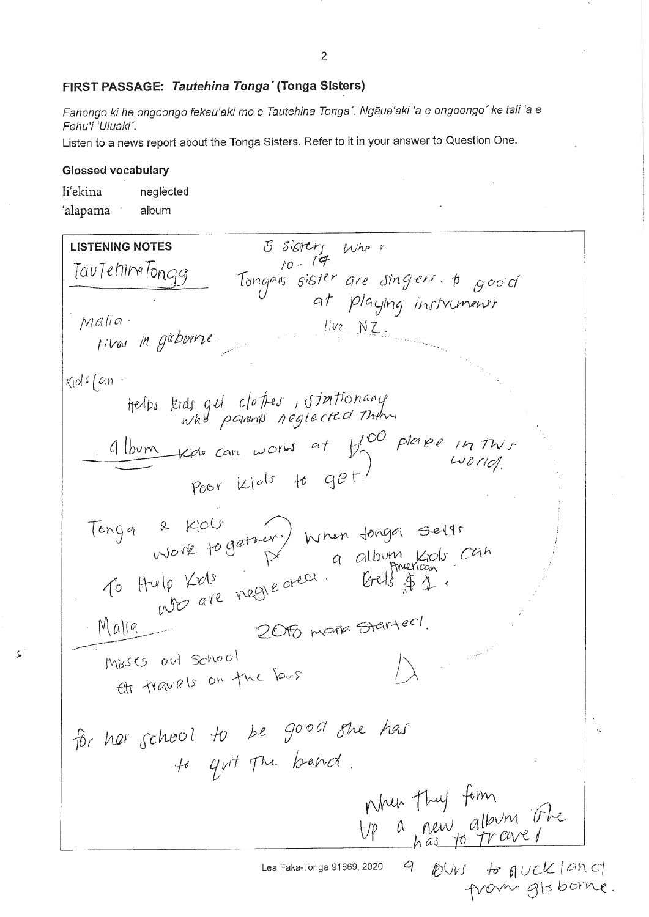#### FIRST PASSAGE: Tautehina Tonga (Tonga Sisters)

Fanongo ki he ongoongo fekau'aki mo e Tautehina Tonga'. Ngāue'aki 'a e ongoongo' ke tali 'a e Fehu'i 'Uluaki'.

Listen to a news report about the Tonga Sisters. Refer to it in your answer to Question One.

#### Glossed vocabulary

:<br>الأ

li'ekina neglected 'alapama album

5 sistery who r<br>Tongars sister are singers. to good **LISTENING NOTES** TauTehinaTongg malia. live NZ. lives in gisborne.  $Kid$ s  $fan$ Helps kids gul clothes, stritionary album kas can work at  $\frac{100}{200}$  place in this Enga & Kicks<br>work to getter ) When tonger selfs<br>To Hulp Kols are neglected. Gods & 1.<br>Walla ware neglected. Gods & 1. Tongg 2000 mark Started. Malla Misses out School et travels on the bus for her school to be good she has  $\frac{1}{N}$ to quit the band. when they form<br>Up a new allown the

OUNS to qualleland  $\zeta$ Lea Faka-Tonga 91669, 2020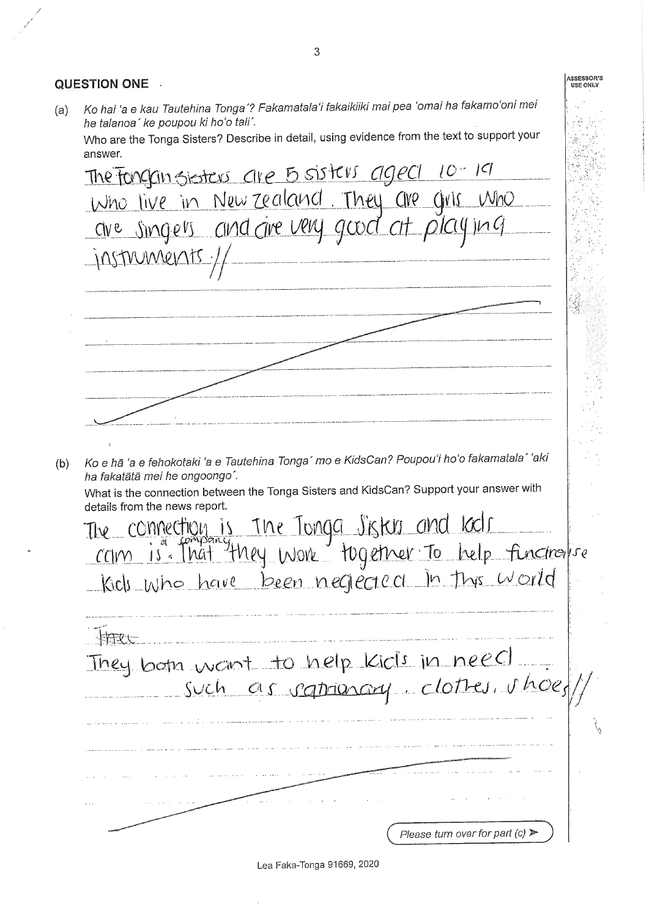| <b>QUESTION ONE</b>                                                                                                                                                                                                                                                        |
|----------------------------------------------------------------------------------------------------------------------------------------------------------------------------------------------------------------------------------------------------------------------------|
| Ko hai 'a e kau Tautehina Tonga'? Fakamatala'i fakaikiiki mai pea 'omai ha fakamo'oni mei<br>he talanoa' ke poupou ki ho'o tali'.<br>Who are the Tonga Sisters? Describe in detail, using evidence from the text to support your<br>answer.                                |
| The Fongcin Sisters are 5 sisters agect                                                                                                                                                                                                                                    |
| Who live in New Zealand. They are gris who                                                                                                                                                                                                                                 |
| are singers and are very good at playing                                                                                                                                                                                                                                   |
| jastruments //                                                                                                                                                                                                                                                             |
|                                                                                                                                                                                                                                                                            |
|                                                                                                                                                                                                                                                                            |
|                                                                                                                                                                                                                                                                            |
|                                                                                                                                                                                                                                                                            |
|                                                                                                                                                                                                                                                                            |
|                                                                                                                                                                                                                                                                            |
|                                                                                                                                                                                                                                                                            |
| What is the connection between the Tonga Sisters and KidsCan? Support your answer with<br>details from the news report.<br>The connection is the Tonga Jigters and kods<br>com is That they work together To help functionse<br>Kids who have been neglected in this world |
| <b>HARC</b>                                                                                                                                                                                                                                                                |
| They both want to help Kicis in need<br>such as sationary clother, shoes                                                                                                                                                                                                   |
|                                                                                                                                                                                                                                                                            |
|                                                                                                                                                                                                                                                                            |
|                                                                                                                                                                                                                                                                            |
|                                                                                                                                                                                                                                                                            |
|                                                                                                                                                                                                                                                                            |
|                                                                                                                                                                                                                                                                            |

 $\overline{\phantom{a}}$ 

Lea Faka-Tonga 91669, 2020

 $\bar{a}$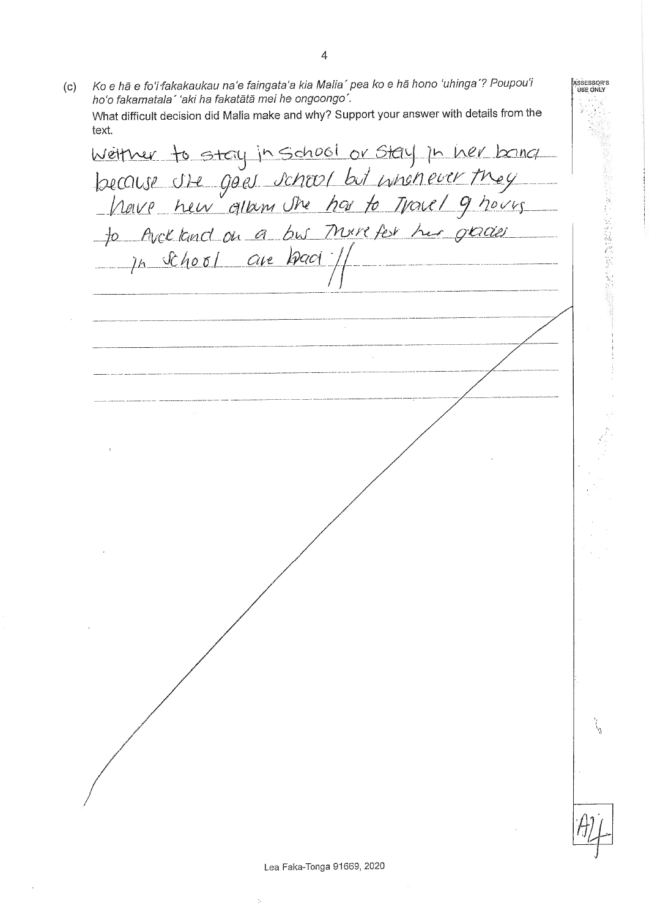Ko e hā e fo'i fakakaukau na'e faingata'a kia Malia' pea ko e hā hono 'uhinga'? Poupou'i  $(c)$ ho'o fakamatala' 'aki ha fakatātā mei he ongoongo'. What difficult decision did Malia make and why? Support your answer with details from the

text. Weither to stay in School or Stay in her bang<br>because one goes school but whenever they to Avelland on a bus Therefor her glacies In School are bad

SSESSOR'S<br>USE ONLY

4、55-03福度 16%。

Lea Faka-Tonga 91669, 2020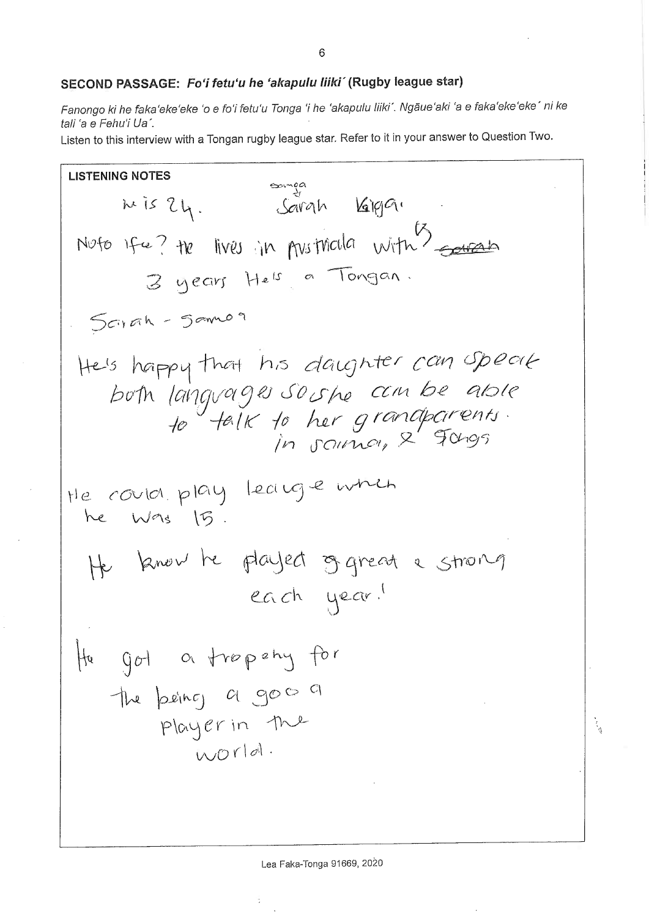### SECOND PASSAGE: Fo'i fetu'u he 'akapulu liiki' (Rugby league star)

Fanongo ki he faka'eke'eke 'o e fo'i fetu'u Tonga 'i he 'akapulu liiki'. Ngāue'aki 'a e faka'eke'eke' ni ke tali 'a e Fehu'i Ua´.

Listen to this interview with a Tongan rugby league star. Refer to it in your answer to Question Two.

**LISTENING NOTES** wis 24. Savan Kingar Noto if a? the lives in Avistricula with ? 3 years Hels a Tongan. 5 Scirah - Samon He's happy that his daughter can speak both languages so she com be able to taik to her grandparents. He could play leavye which he Was 15. He know he played grapeat a strong each year! He got a tropping for The being a good player in the world.

Lea Faka-Tonga 91669, 2020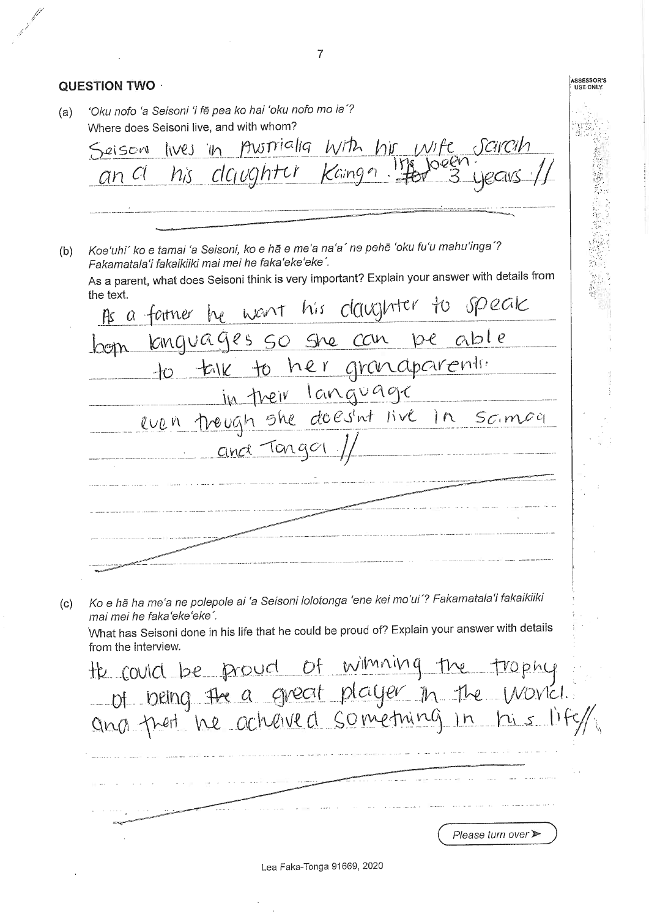| <b>QUESTION TWO</b>                                                                                                                                                                                                                                                                                                                                                                          | <b>\SSESSOR'S</b><br>USE ONLY |
|----------------------------------------------------------------------------------------------------------------------------------------------------------------------------------------------------------------------------------------------------------------------------------------------------------------------------------------------------------------------------------------------|-------------------------------|
| 'Oku nofo 'a Seisoni 'i fë pea ko hai 'oku nofo mo ia'?<br>(a)<br>Where does Seisoni live, and with whom?<br>Seison lives in Awmialia with his wife Sarcih<br>an ci his dcrughter Kainger 15 Joeen Leav                                                                                                                                                                                      |                               |
| Koe'uhi' ko e tamai 'a Seisoni, ko e hã e me'a na'a' ne pehē 'oku fu'u mahu'inga'?<br>(b)<br>Fakamatala'i fakaikiiki mai mei he faka'eke'eke'.<br>As a parent, what does Seisoni think is very important? Explain your answer with details from<br>the text.<br>As a former he want his daughter to speak                                                                                    |                               |
| bon languages so she can pe able<br>to talk to her grandparents.<br>in their language<br>even trough she doesn't live in sommon<br>anci Tongoi!                                                                                                                                                                                                                                              |                               |
|                                                                                                                                                                                                                                                                                                                                                                                              |                               |
| Ko e hã ha me'a ne polepole ai 'a Seisoni lolotonga 'ene kei mo'ui'? Fakamatala'i fakaikiiki<br>(c)<br>mai mei he faka'eke'eke'.<br>What has Seisoni done in his life that he could be proud of? Explain your answer with details<br>from the interview.<br>It could be proud of winning the trophy<br>of being the a great player in the world.<br>ana thet he acheived something in his li |                               |
| Please turn over                                                                                                                                                                                                                                                                                                                                                                             |                               |

 $\frac{1}{2}$  and  $\frac{1}{2}$  and  $\frac{1}{2}$ 

Lea Faka-Tonga 91669, 2020

 $\ddot{\phantom{a}}$ 

 $\ddot{\phantom{a}}$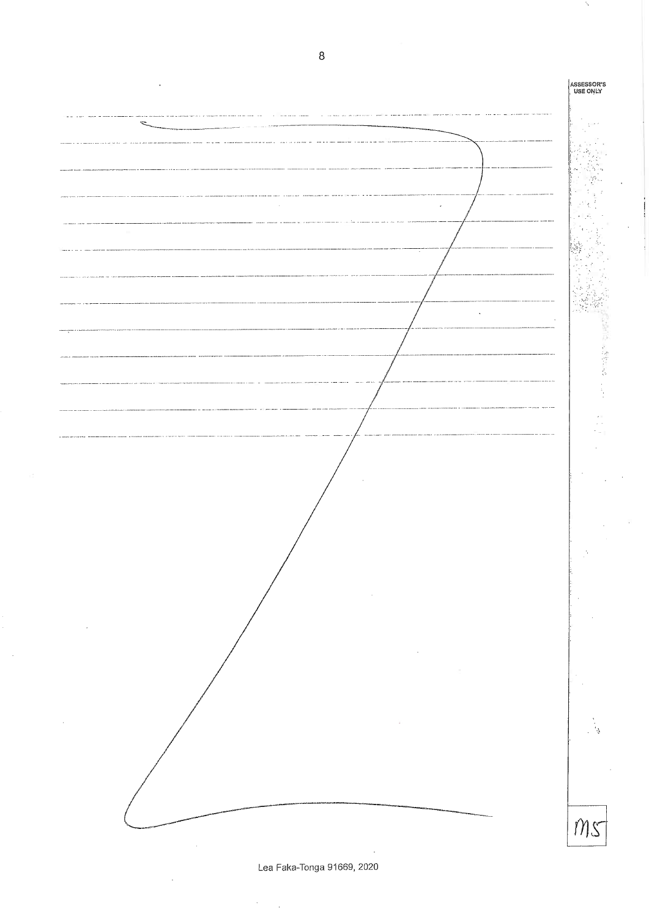|               | ASSESSOR'S<br>USE ONLY                            |
|---------------|---------------------------------------------------|
| <b>S</b>      | ÷.                                                |
| $2.12 - 1.02$ | $\Lambda$<br>×.<br>$\mathcal{L}_{\mathcal{A}}$    |
| and in        | Ň.<br>v.                                          |
| ٠             | ÷                                                 |
|               | $\mathcal{L}$                                     |
|               | Ą,                                                |
|               | $\frac{\gamma_{11}}{\gamma_{22}}$<br>W.<br>$\sim$ |
|               |                                                   |
| $\sim$        | たなに る                                             |
|               | $\frac{1}{\sqrt{2}}$<br>$\epsilon$                |
|               | $\sim$<br>$\gamma_{\rm{max}}$                     |
|               |                                                   |
|               |                                                   |
|               |                                                   |
|               |                                                   |
|               |                                                   |
|               |                                                   |
|               |                                                   |
|               |                                                   |
|               |                                                   |
|               |                                                   |
|               |                                                   |
|               | MST                                               |
|               |                                                   |

Lea Faka-Tonga 91669, 2020

 $\frac{1}{2} \sum_{i=1}^{n} \frac{1}{2}$ 

 $\sim$ 

 $\sim$   $\epsilon$ 

 $\overline{8}$ 

 $\Delta_{\rm c}$ 

 $\overline{a}$ 

 $\ddot{\phantom{a}}$ 

 $\bar{\mathcal{L}}$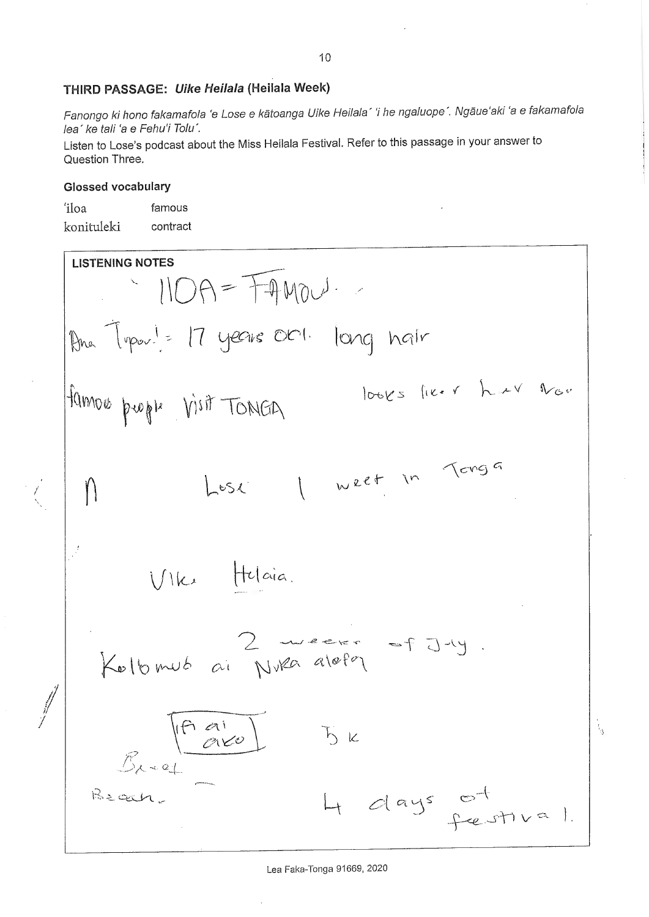## THIRD PASSAGE: Uike Heilala (Heilala Week)

Fanongo ki hono fakamafola 'e Lose e kātoanga Uike Heilala' 'i he ngaluope'. Ngāue'aki 'a e fakamafola lea' ke tali 'a e Fehu'i Tolu'.

Listen to Lose's podcast about the Miss Heilala Festival. Refer to this passage in your answer to Question Three.

#### **Glossed vocabulary**

'iloa famous konituleki contract

**LISTENING NOTES**  $NDA = TAMDU$ . The Typer! = 17 years on! Tong hair looks like & hard Noon famos propre visit TONGA I weet in Tonga  $L = 51$  $11ke$  Helaia. Kolbmub ai Nixa alofol of J-1y  $M_{\text{av}}$  $5k$  $B_1 = 2$  $B<sub>2</sub>$  or  $H$ days of<br>festival.

 $\mathfrak{t}_\Lambda$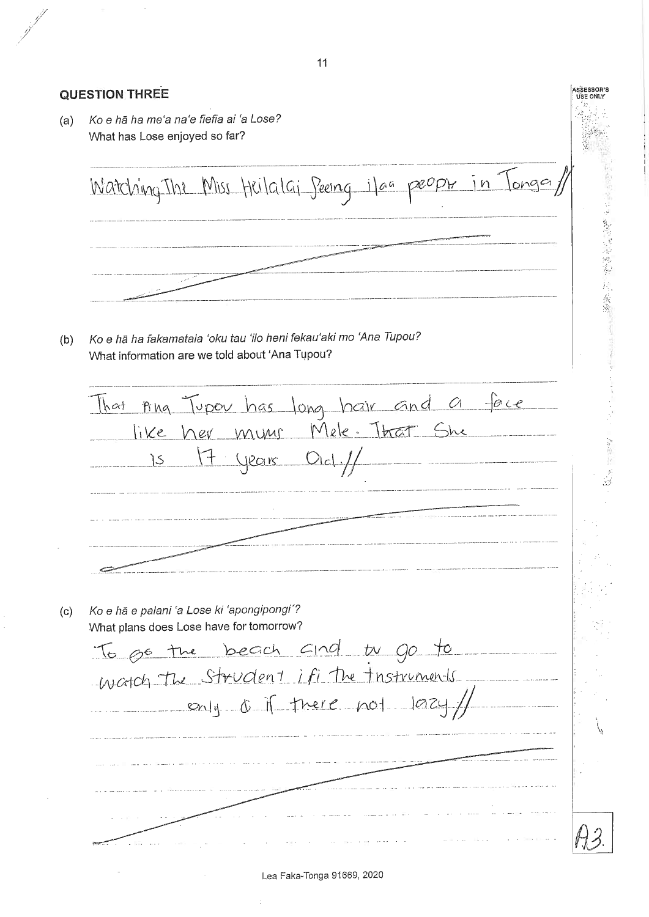| Ko e hā ha me'a na'e fiefia ai 'a Lose?<br>What has Lose enjoyed so far?                                            |      |
|---------------------------------------------------------------------------------------------------------------------|------|
| Watching The Miss Heilalai Seeing ilaa peoprin                                                                      | onga |
|                                                                                                                     |      |
|                                                                                                                     |      |
| Ko e hā ha fakamatala 'oku tau 'ilo heni fekau'aki mo 'Ana Tupou?<br>What information are we told about 'Ana Tupou? |      |
| Any Tupou has long hair and a face<br>$\int h$ at                                                                   |      |
| like her muns Mele. That She                                                                                        |      |
| years Old 1<br>$\overline{\mathcal{S}}$                                                                             |      |
|                                                                                                                     |      |
|                                                                                                                     |      |
| Ko e hã e palani 'a Lose ki 'apongipongi'?<br>What plans does Lose have for tomorrow?                               |      |
| To go the beach cind to go to                                                                                       |      |
| watch the Strudent ifi the firstruments                                                                             |      |
| only of there not lazy,                                                                                             |      |
|                                                                                                                     |      |
|                                                                                                                     |      |
|                                                                                                                     |      |

 $\hat{\mathcal{A}}$ 

Ŷ

 $\hat{\mathcal{A}}$ 

Lea Faka-Tonga 91669, 2020

 $\mathbb{C}$